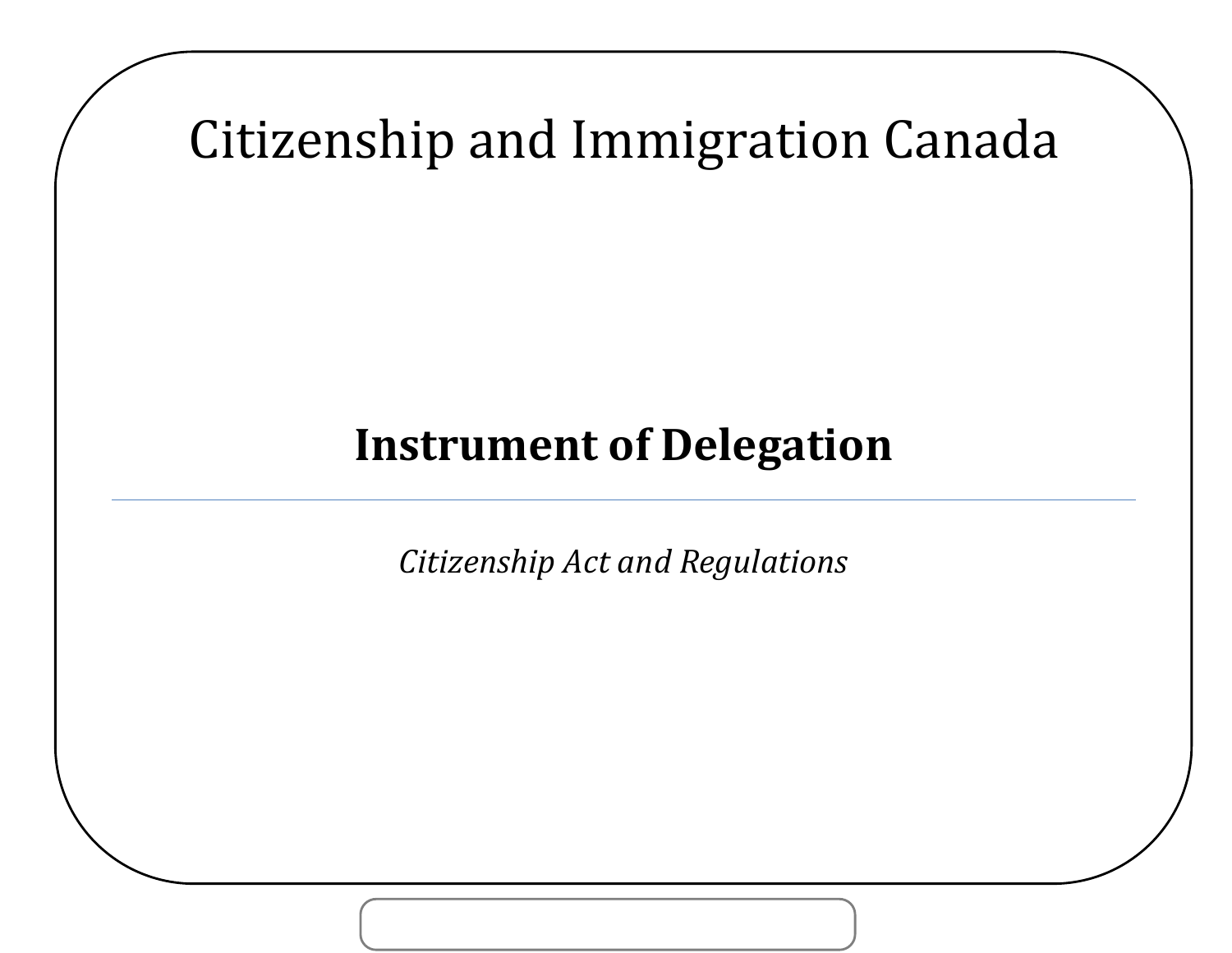Citizenship and Immigration Canada

# **Instrument of Delegation**

*Citizenship Act and Regulations*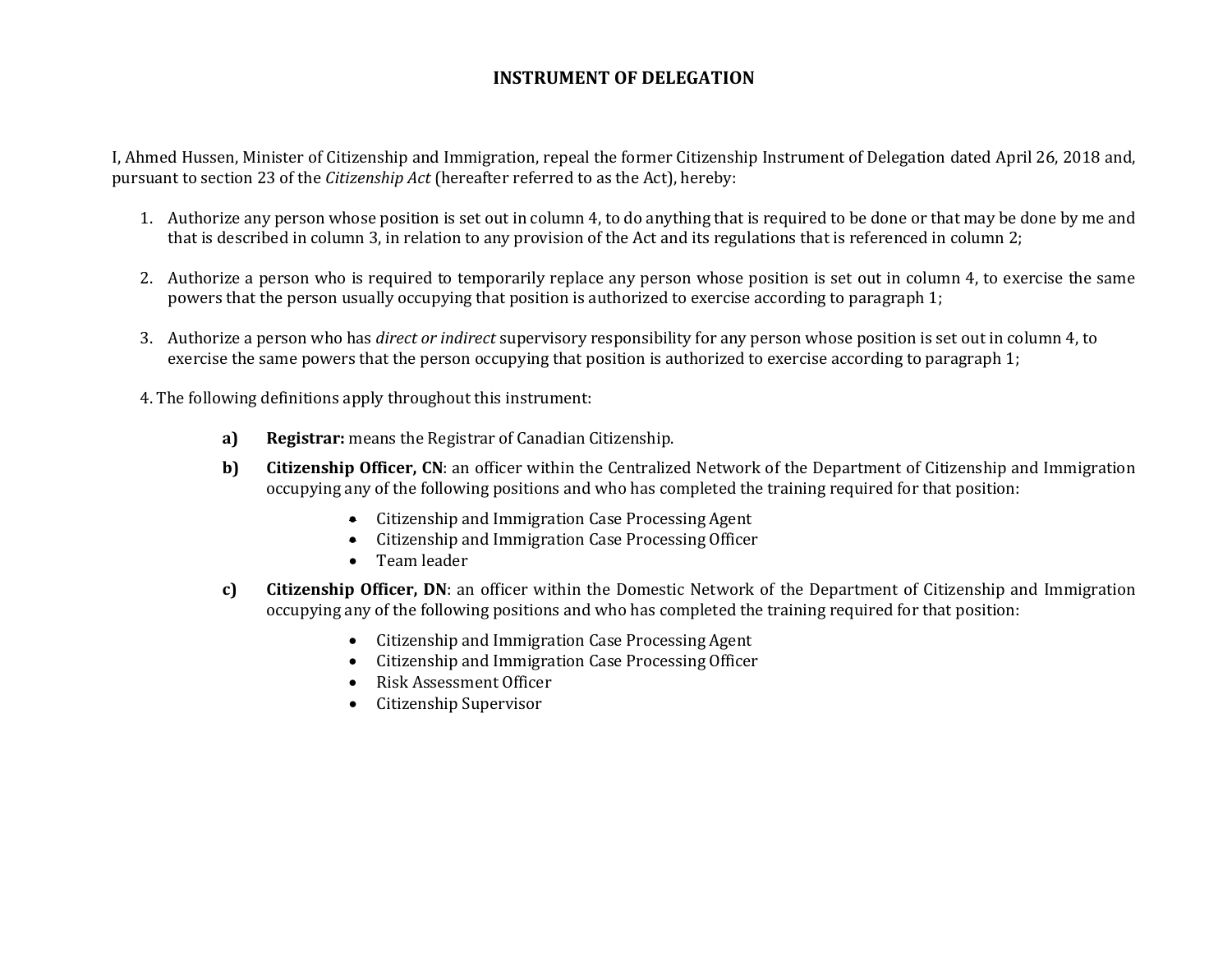### **INSTRUMENT OF DELEGATION**

I, Ahmed Hussen, Minister of Citizenship and Immigration, repeal the former Citizenship Instrument of Delegation dated April 26, 2018 and, pursuant to section 23 of the *Citizenship Act* (hereafter referred to as the Act), hereby:

- 1. Authorize any person whose position is set out in column 4, to do anything that is required to be done or that may be done by me and that is described in column 3, in relation to any provision of the Act and its regulations that is referenced in column 2;
- 2. Authorize a person who is required to temporarily replace any person whose position is set out in column 4, to exercise the same powers that the person usually occupying that position is authorized to exercise according to paragraph 1;
- 3. Authorize a person who has *direct or indirect* supervisory responsibility for any person whose position is set out in column 4, to exercise the same powers that the person occupying that position is authorized to exercise according to paragraph 1;
- 4. The following definitions apply throughout this instrument:
	- **a) Registrar:** means the Registrar of Canadian Citizenship.
	- **b) Citizenship Officer, CN**: an officer within the Centralized Network of the Department of Citizenship and Immigration occupying any of the following positions and who has completed the training required for that position:
		- Citizenship and Immigration Case Processing Agent
		- Citizenship and Immigration Case Processing Officer
		- Team leader
	- **c) Citizenship Officer, DN**: an officer within the Domestic Network of the Department of Citizenship and Immigration occupying any of the following positions and who has completed the training required for that position:
		- Citizenship and Immigration Case Processing Agent
		- Citizenship and Immigration Case Processing Officer
		- Risk Assessment Officer
		- Citizenship Supervisor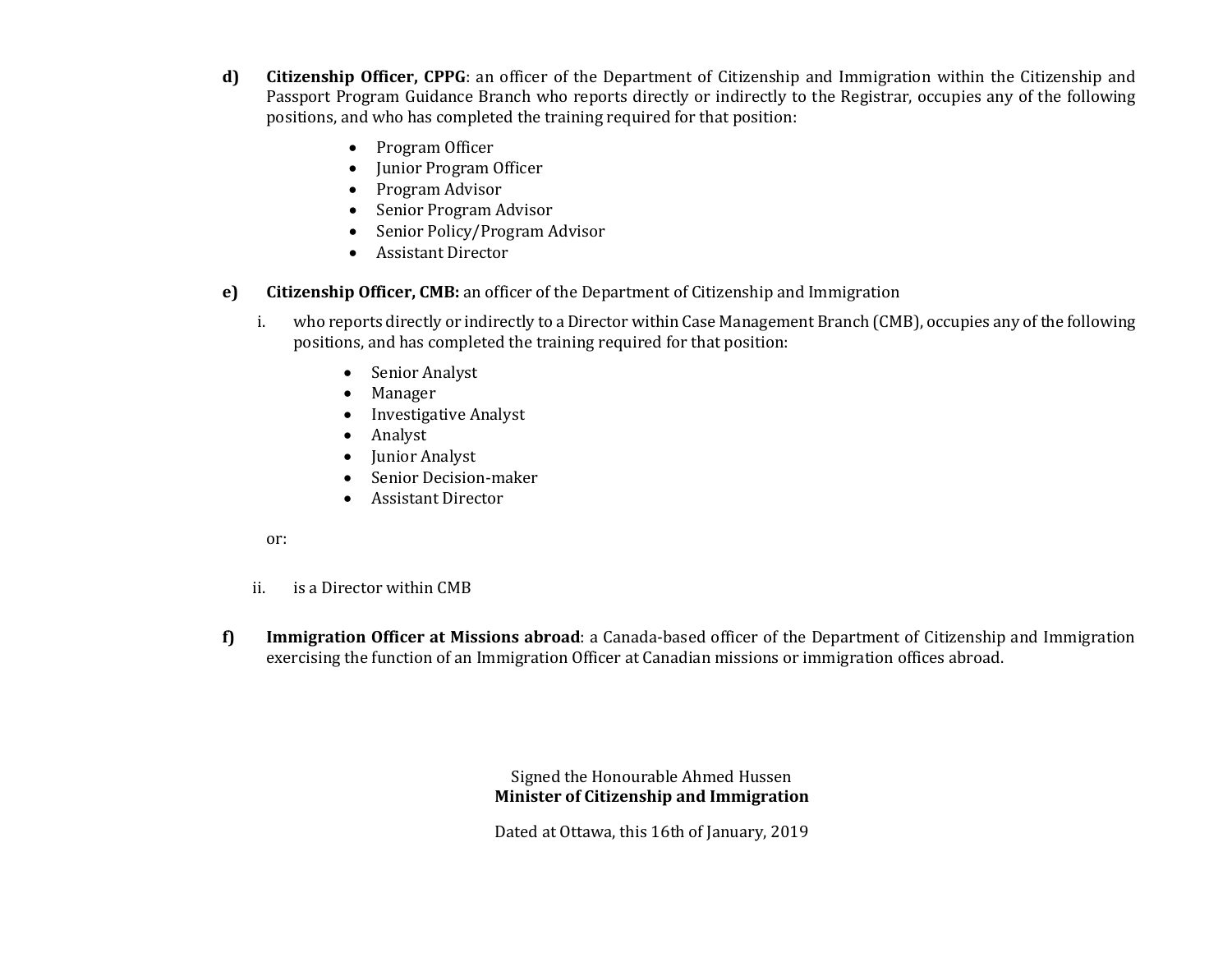- **d) Citizenship Officer, CPPG**: an officer of the Department of Citizenship and Immigration within the Citizenship and Passport Program Guidance Branch who reports directly or indirectly to the Registrar, occupies any of the following positions, and who has completed the training required for that position:
	- Program Officer
	- Junior Program Officer
	- Program Advisor
	- Senior Program Advisor
	- Senior Policy/Program Advisor
	- Assistant Director
- **e) Citizenship Officer, CMB:** an officer of the Department of Citizenship and Immigration
	- i. who reports directly or indirectly to a Director within Case Management Branch (CMB), occupies any of the following positions, and has completed the training required for that position:
		- Senior Analyst
		- Manager
		- Investigative Analyst
		- Analyst
		- Junior Analyst
		- Senior Decision-maker
		- Assistant Director

#### or:

- ii. is a Director within CMB
- **f) Immigration Officer at Missions abroad**: a Canada-based officer of the Department of Citizenship and Immigration exercising the function of an Immigration Officer at Canadian missions or immigration offices abroad.

Signed the Honourable Ahmed Hussen **Minister of Citizenship and Immigration**

Dated at Ottawa, this 16th of January, 2019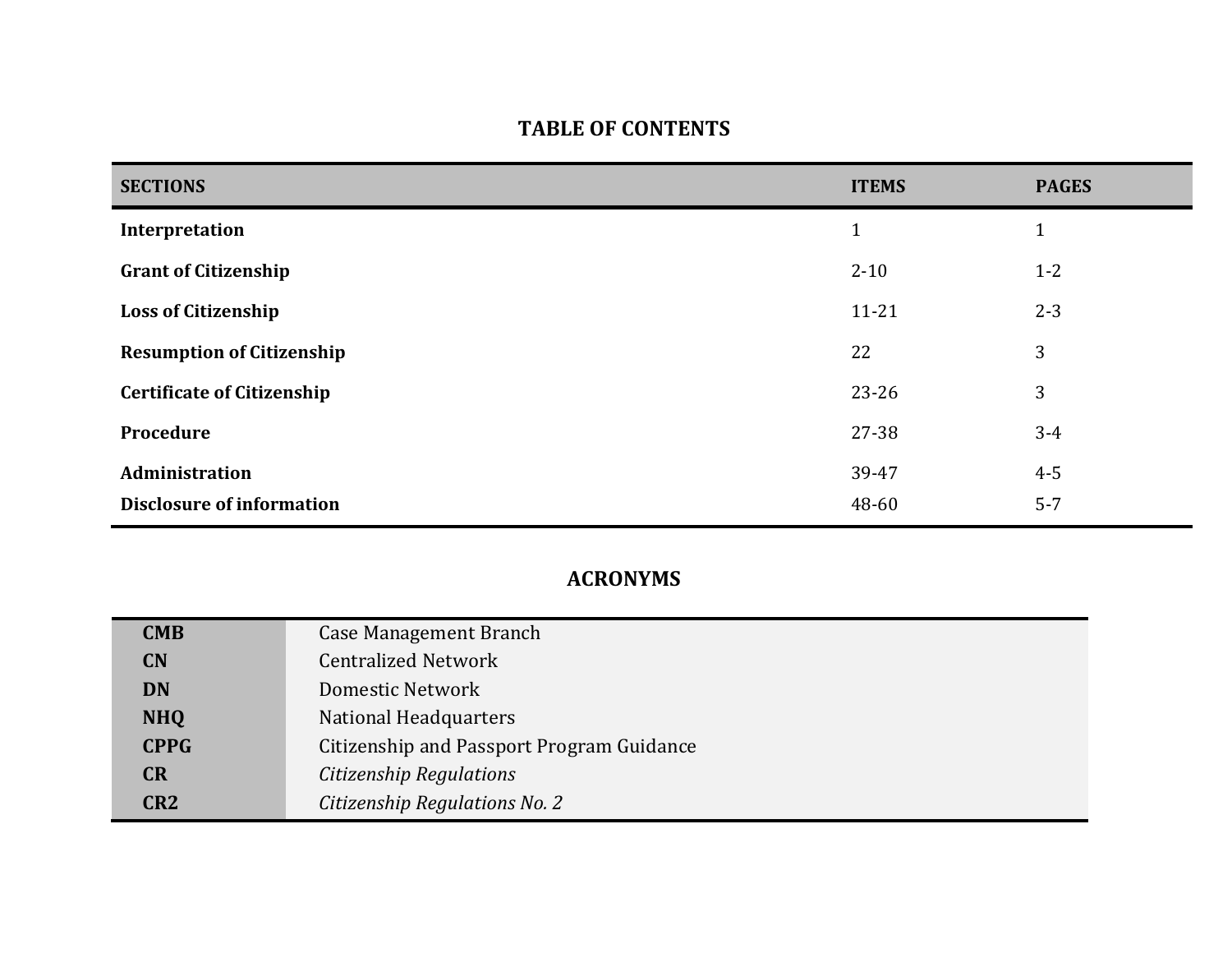## **TABLE OF CONTENTS**

| <b>SECTIONS</b>                   | <b>ITEMS</b> | <b>PAGES</b> |
|-----------------------------------|--------------|--------------|
| Interpretation                    | $\mathbf{1}$ | $\mathbf{1}$ |
| <b>Grant of Citizenship</b>       | $2 - 10$     | $1 - 2$      |
| <b>Loss of Citizenship</b>        | $11 - 21$    | $2 - 3$      |
| <b>Resumption of Citizenship</b>  | 22           | 3            |
| <b>Certificate of Citizenship</b> | $23 - 26$    | 3            |
| Procedure                         | 27-38        | $3 - 4$      |
| Administration                    | 39-47        | $4 - 5$      |
| <b>Disclosure of information</b>  | 48-60        | $5 - 7$      |

## **ACRONYMS**

| <b>CMB</b>      | <b>Case Management Branch</b>             |
|-----------------|-------------------------------------------|
| <b>CN</b>       | <b>Centralized Network</b>                |
| <b>DN</b>       | <b>Domestic Network</b>                   |
| <b>NHQ</b>      | National Headquarters                     |
| <b>CPPG</b>     | Citizenship and Passport Program Guidance |
| <b>CR</b>       | Citizenship Regulations                   |
| CR <sub>2</sub> | Citizenship Regulations No. 2             |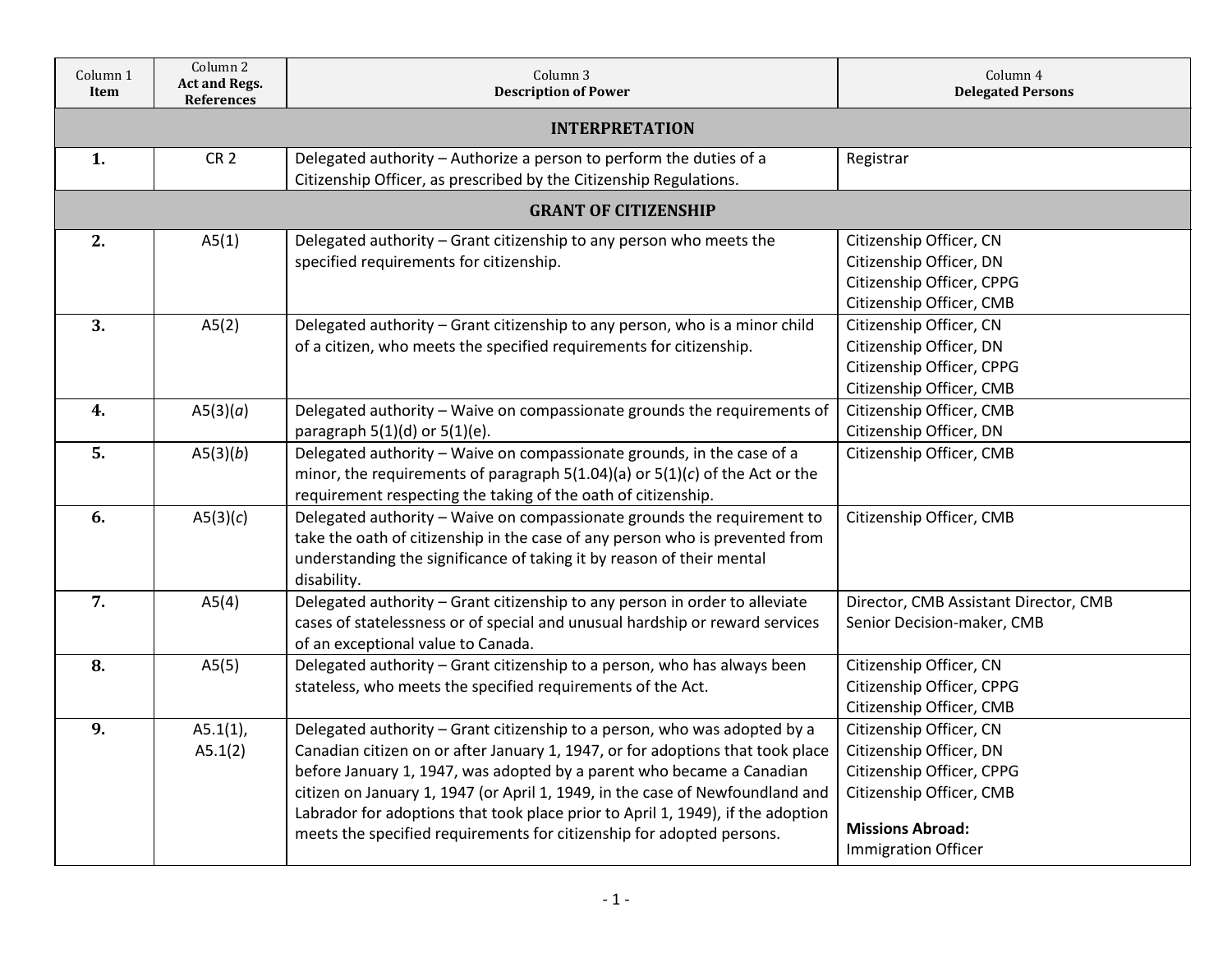| Column 1<br>Item | Column 2<br><b>Act and Regs.</b><br><b>References</b> | Column 3<br><b>Description of Power</b>                                                                                                                                                                                                                                                                                                                                                                                                                                           | Column 4<br><b>Delegated Persons</b>                                                                                                                                 |  |  |
|------------------|-------------------------------------------------------|-----------------------------------------------------------------------------------------------------------------------------------------------------------------------------------------------------------------------------------------------------------------------------------------------------------------------------------------------------------------------------------------------------------------------------------------------------------------------------------|----------------------------------------------------------------------------------------------------------------------------------------------------------------------|--|--|
|                  | <b>INTERPRETATION</b>                                 |                                                                                                                                                                                                                                                                                                                                                                                                                                                                                   |                                                                                                                                                                      |  |  |
| 1.               | CR <sub>2</sub>                                       | Delegated authority - Authorize a person to perform the duties of a<br>Citizenship Officer, as prescribed by the Citizenship Regulations.                                                                                                                                                                                                                                                                                                                                         | Registrar                                                                                                                                                            |  |  |
|                  |                                                       | <b>GRANT OF CITIZENSHIP</b>                                                                                                                                                                                                                                                                                                                                                                                                                                                       |                                                                                                                                                                      |  |  |
| 2.               | A5(1)                                                 | Delegated authority - Grant citizenship to any person who meets the<br>specified requirements for citizenship.                                                                                                                                                                                                                                                                                                                                                                    | Citizenship Officer, CN<br>Citizenship Officer, DN<br>Citizenship Officer, CPPG<br>Citizenship Officer, CMB                                                          |  |  |
| $\overline{3}$ . | A5(2)                                                 | Delegated authority - Grant citizenship to any person, who is a minor child<br>of a citizen, who meets the specified requirements for citizenship.                                                                                                                                                                                                                                                                                                                                | Citizenship Officer, CN<br>Citizenship Officer, DN<br>Citizenship Officer, CPPG<br>Citizenship Officer, CMB                                                          |  |  |
| 4.               | A5(3)(a)                                              | Delegated authority - Waive on compassionate grounds the requirements of<br>paragraph $5(1)(d)$ or $5(1)(e)$ .                                                                                                                                                                                                                                                                                                                                                                    | Citizenship Officer, CMB<br>Citizenship Officer, DN                                                                                                                  |  |  |
| $\overline{5}$ . | A5(3)(b)                                              | Delegated authority - Waive on compassionate grounds, in the case of a<br>minor, the requirements of paragraph $5(1.04)(a)$ or $5(1)(c)$ of the Act or the<br>requirement respecting the taking of the oath of citizenship.                                                                                                                                                                                                                                                       | Citizenship Officer, CMB                                                                                                                                             |  |  |
| 6.               | A5(3)(c)                                              | Delegated authority - Waive on compassionate grounds the requirement to<br>take the oath of citizenship in the case of any person who is prevented from<br>understanding the significance of taking it by reason of their mental<br>disability.                                                                                                                                                                                                                                   | Citizenship Officer, CMB                                                                                                                                             |  |  |
| 7.               | A5(4)                                                 | Delegated authority - Grant citizenship to any person in order to alleviate<br>cases of statelessness or of special and unusual hardship or reward services<br>of an exceptional value to Canada.                                                                                                                                                                                                                                                                                 | Director, CMB Assistant Director, CMB<br>Senior Decision-maker, CMB                                                                                                  |  |  |
| 8.               | A5(5)                                                 | Delegated authority - Grant citizenship to a person, who has always been<br>stateless, who meets the specified requirements of the Act.                                                                                                                                                                                                                                                                                                                                           | Citizenship Officer, CN<br>Citizenship Officer, CPPG<br>Citizenship Officer, CMB                                                                                     |  |  |
| 9.               | $A5.1(1)$ ,<br>A5.1(2)                                | Delegated authority - Grant citizenship to a person, who was adopted by a<br>Canadian citizen on or after January 1, 1947, or for adoptions that took place<br>before January 1, 1947, was adopted by a parent who became a Canadian<br>citizen on January 1, 1947 (or April 1, 1949, in the case of Newfoundland and<br>Labrador for adoptions that took place prior to April 1, 1949), if the adoption<br>meets the specified requirements for citizenship for adopted persons. | Citizenship Officer, CN<br>Citizenship Officer, DN<br>Citizenship Officer, CPPG<br>Citizenship Officer, CMB<br><b>Missions Abroad:</b><br><b>Immigration Officer</b> |  |  |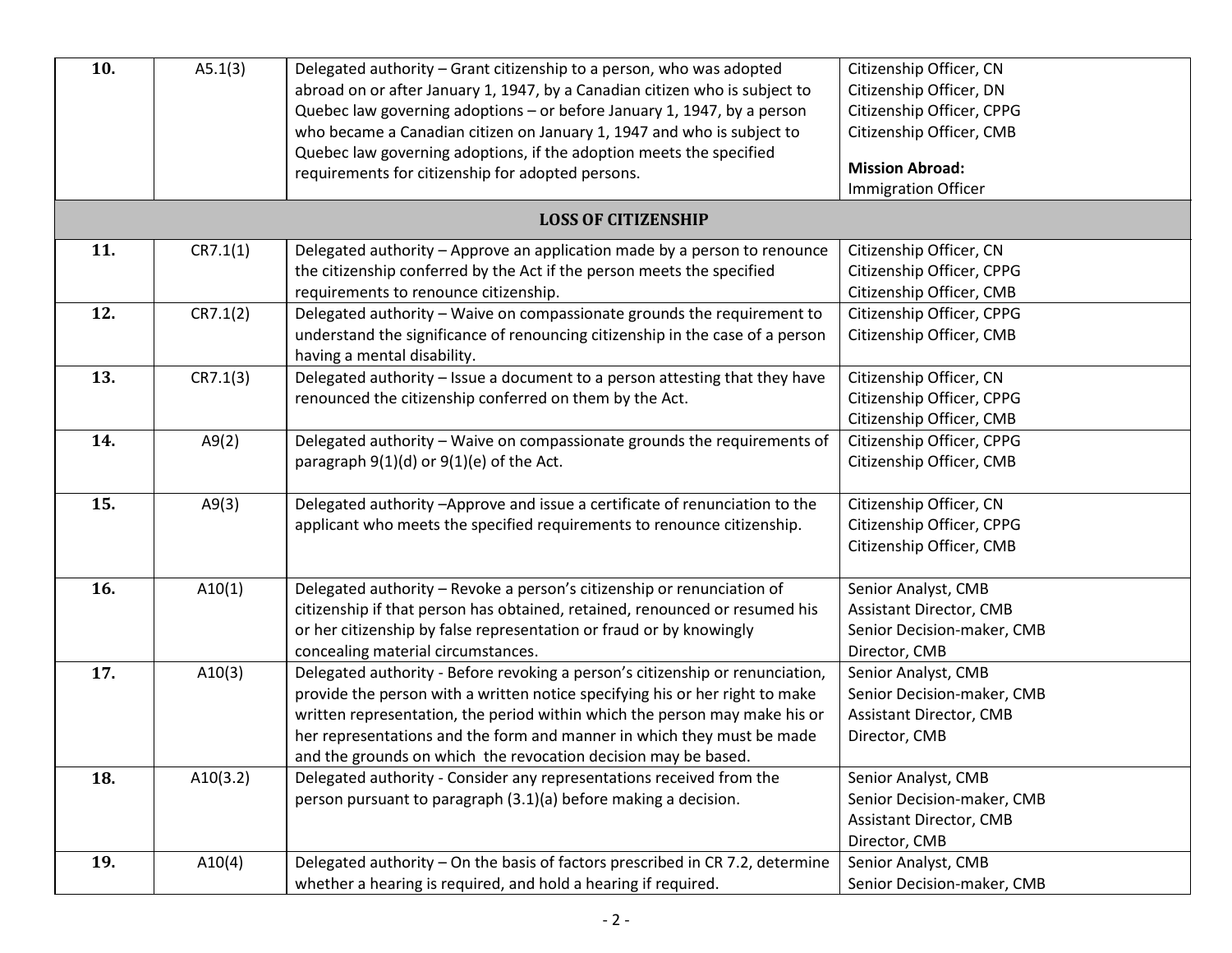| 10. | A5.1(3)  | Delegated authority - Grant citizenship to a person, who was adopted<br>abroad on or after January 1, 1947, by a Canadian citizen who is subject to<br>Quebec law governing adoptions - or before January 1, 1947, by a person<br>who became a Canadian citizen on January 1, 1947 and who is subject to                                                                                | Citizenship Officer, CN<br>Citizenship Officer, DN<br>Citizenship Officer, CPPG<br>Citizenship Officer, CMB |
|-----|----------|-----------------------------------------------------------------------------------------------------------------------------------------------------------------------------------------------------------------------------------------------------------------------------------------------------------------------------------------------------------------------------------------|-------------------------------------------------------------------------------------------------------------|
|     |          | Quebec law governing adoptions, if the adoption meets the specified<br>requirements for citizenship for adopted persons.                                                                                                                                                                                                                                                                | <b>Mission Abroad:</b><br><b>Immigration Officer</b>                                                        |
|     |          | <b>LOSS OF CITIZENSHIP</b>                                                                                                                                                                                                                                                                                                                                                              |                                                                                                             |
| 11. | CR7.1(1) | Delegated authority - Approve an application made by a person to renounce<br>the citizenship conferred by the Act if the person meets the specified<br>requirements to renounce citizenship.                                                                                                                                                                                            | Citizenship Officer, CN<br>Citizenship Officer, CPPG<br>Citizenship Officer, CMB                            |
| 12. | CR7.1(2) | Delegated authority - Waive on compassionate grounds the requirement to<br>understand the significance of renouncing citizenship in the case of a person<br>having a mental disability.                                                                                                                                                                                                 | Citizenship Officer, CPPG<br>Citizenship Officer, CMB                                                       |
| 13. | CR7.1(3) | Delegated authority - Issue a document to a person attesting that they have<br>renounced the citizenship conferred on them by the Act.                                                                                                                                                                                                                                                  | Citizenship Officer, CN<br>Citizenship Officer, CPPG<br>Citizenship Officer, CMB                            |
| 14. | A9(2)    | Delegated authority - Waive on compassionate grounds the requirements of<br>paragraph $9(1)(d)$ or $9(1)(e)$ of the Act.                                                                                                                                                                                                                                                                | Citizenship Officer, CPPG<br>Citizenship Officer, CMB                                                       |
| 15. | A9(3)    | Delegated authority -Approve and issue a certificate of renunciation to the<br>applicant who meets the specified requirements to renounce citizenship.                                                                                                                                                                                                                                  | Citizenship Officer, CN<br>Citizenship Officer, CPPG<br>Citizenship Officer, CMB                            |
| 16. | A10(1)   | Delegated authority - Revoke a person's citizenship or renunciation of<br>citizenship if that person has obtained, retained, renounced or resumed his<br>or her citizenship by false representation or fraud or by knowingly<br>concealing material circumstances.                                                                                                                      | Senior Analyst, CMB<br><b>Assistant Director, CMB</b><br>Senior Decision-maker, CMB<br>Director, CMB        |
| 17. | A10(3)   | Delegated authority - Before revoking a person's citizenship or renunciation,<br>provide the person with a written notice specifying his or her right to make<br>written representation, the period within which the person may make his or<br>her representations and the form and manner in which they must be made<br>and the grounds on which the revocation decision may be based. | Senior Analyst, CMB<br>Senior Decision-maker, CMB<br><b>Assistant Director, CMB</b><br>Director, CMB        |
| 18. | A10(3.2) | Delegated authority - Consider any representations received from the<br>person pursuant to paragraph (3.1)(a) before making a decision.                                                                                                                                                                                                                                                 | Senior Analyst, CMB<br>Senior Decision-maker, CMB<br><b>Assistant Director, CMB</b><br>Director, CMB        |
| 19. | A10(4)   | Delegated authority – On the basis of factors prescribed in CR 7.2, determine<br>whether a hearing is required, and hold a hearing if required.                                                                                                                                                                                                                                         | Senior Analyst, CMB<br>Senior Decision-maker, CMB                                                           |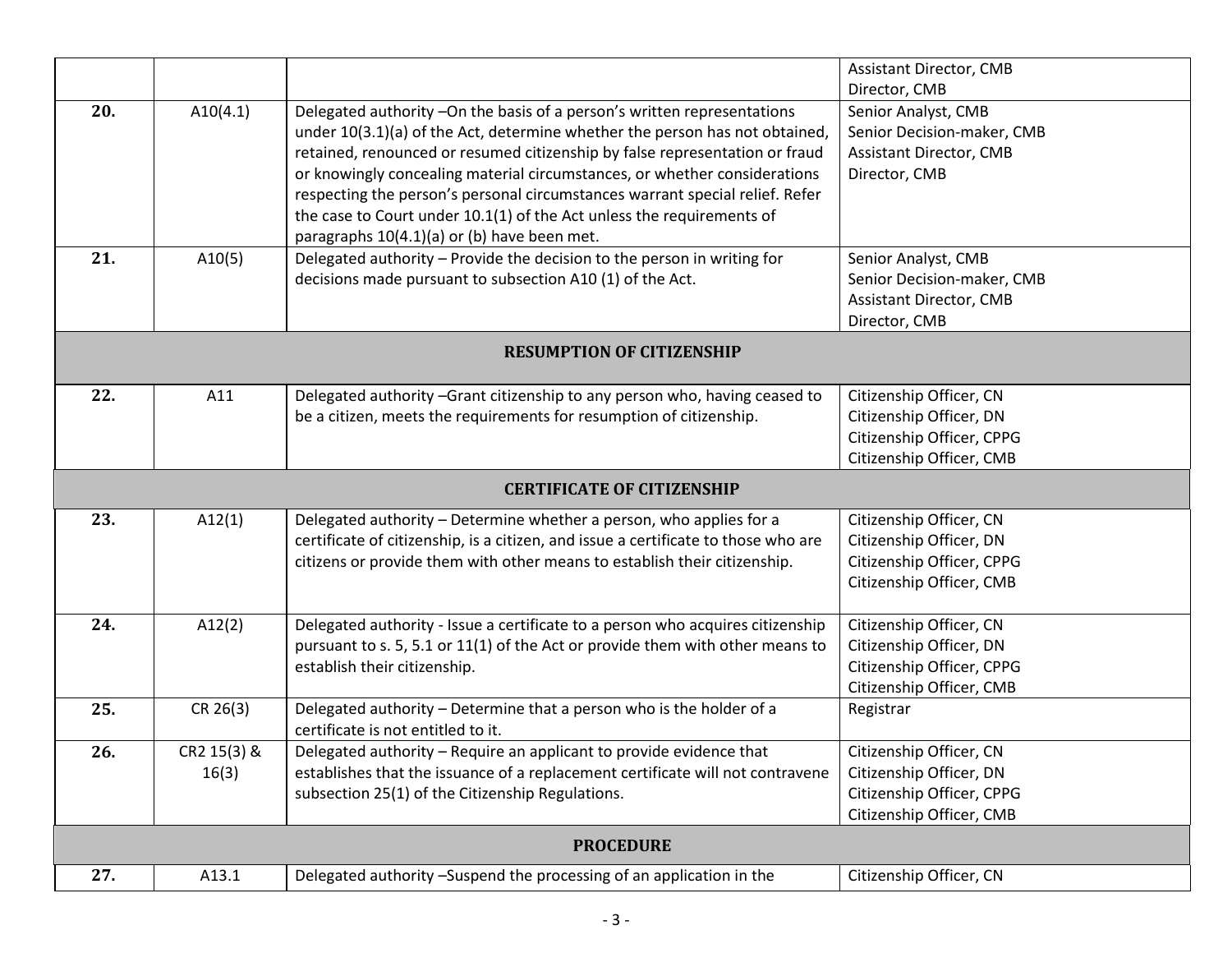|     |                                   |                                                                                                            | <b>Assistant Director, CMB</b> |  |  |
|-----|-----------------------------------|------------------------------------------------------------------------------------------------------------|--------------------------------|--|--|
|     |                                   |                                                                                                            | Director, CMB                  |  |  |
| 20. | A10(4.1)                          | Delegated authority -On the basis of a person's written representations                                    | Senior Analyst, CMB            |  |  |
|     |                                   | under 10(3.1)(a) of the Act, determine whether the person has not obtained,                                | Senior Decision-maker, CMB     |  |  |
|     |                                   | retained, renounced or resumed citizenship by false representation or fraud                                | <b>Assistant Director, CMB</b> |  |  |
|     |                                   | or knowingly concealing material circumstances, or whether considerations                                  | Director, CMB                  |  |  |
|     |                                   | respecting the person's personal circumstances warrant special relief. Refer                               |                                |  |  |
|     |                                   | the case to Court under 10.1(1) of the Act unless the requirements of                                      |                                |  |  |
|     |                                   | paragraphs 10(4.1)(a) or (b) have been met.                                                                |                                |  |  |
| 21. | A10(5)                            | Delegated authority - Provide the decision to the person in writing for                                    | Senior Analyst, CMB            |  |  |
|     |                                   | decisions made pursuant to subsection A10 (1) of the Act.                                                  | Senior Decision-maker, CMB     |  |  |
|     |                                   |                                                                                                            | <b>Assistant Director, CMB</b> |  |  |
|     |                                   |                                                                                                            | Director, CMB                  |  |  |
|     | <b>RESUMPTION OF CITIZENSHIP</b>  |                                                                                                            |                                |  |  |
| 22. | A11                               | Delegated authority -Grant citizenship to any person who, having ceased to                                 | Citizenship Officer, CN        |  |  |
|     |                                   | be a citizen, meets the requirements for resumption of citizenship.                                        | Citizenship Officer, DN        |  |  |
|     |                                   |                                                                                                            | Citizenship Officer, CPPG      |  |  |
|     |                                   |                                                                                                            | Citizenship Officer, CMB       |  |  |
|     | <b>CERTIFICATE OF CITIZENSHIP</b> |                                                                                                            |                                |  |  |
| 23. | A12(1)                            | Delegated authority - Determine whether a person, who applies for a                                        | Citizenship Officer, CN        |  |  |
|     |                                   | certificate of citizenship, is a citizen, and issue a certificate to those who are                         | Citizenship Officer, DN        |  |  |
|     |                                   | citizens or provide them with other means to establish their citizenship.                                  | Citizenship Officer, CPPG      |  |  |
|     |                                   |                                                                                                            | Citizenship Officer, CMB       |  |  |
|     |                                   |                                                                                                            |                                |  |  |
| 24. | A12(2)                            | Delegated authority - Issue a certificate to a person who acquires citizenship                             | Citizenship Officer, CN        |  |  |
|     |                                   | pursuant to s. 5, 5.1 or 11(1) of the Act or provide them with other means to                              | Citizenship Officer, DN        |  |  |
|     |                                   | establish their citizenship.                                                                               | Citizenship Officer, CPPG      |  |  |
|     |                                   |                                                                                                            | Citizenship Officer, CMB       |  |  |
| 25. |                                   |                                                                                                            |                                |  |  |
|     | CR 26(3)                          | Delegated authority - Determine that a person who is the holder of a<br>certificate is not entitled to it. | Registrar                      |  |  |
| 26. | CR2 15(3) &                       | Delegated authority - Require an applicant to provide evidence that                                        | Citizenship Officer, CN        |  |  |
|     | 16(3)                             | establishes that the issuance of a replacement certificate will not contravene                             | Citizenship Officer, DN        |  |  |
|     |                                   | subsection 25(1) of the Citizenship Regulations.                                                           | Citizenship Officer, CPPG      |  |  |
|     |                                   |                                                                                                            | Citizenship Officer, CMB       |  |  |
|     |                                   | <b>PROCEDURE</b>                                                                                           |                                |  |  |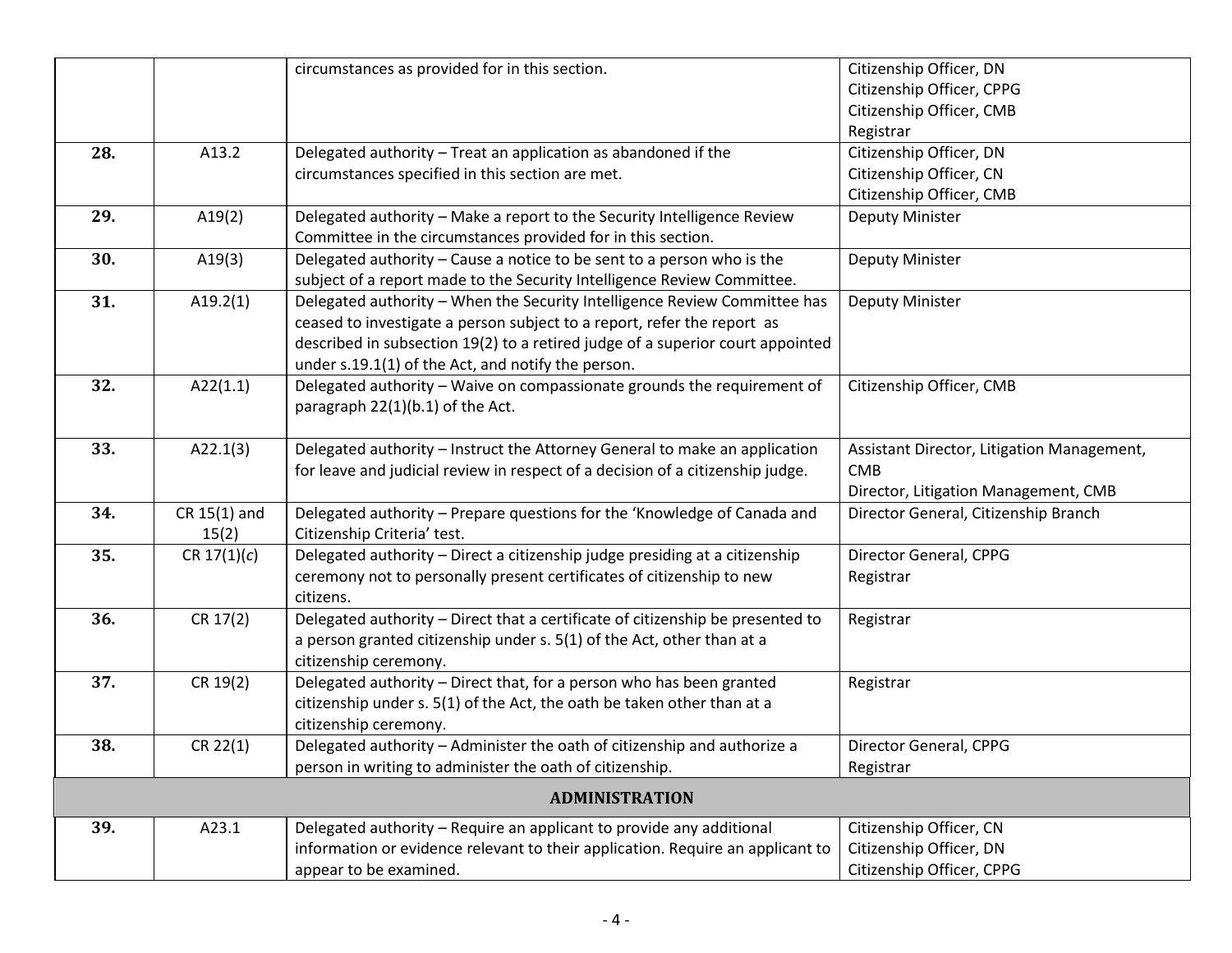|     |                | circumstances as provided for in this section.                                 | Citizenship Officer, DN                    |
|-----|----------------|--------------------------------------------------------------------------------|--------------------------------------------|
|     |                |                                                                                | Citizenship Officer, CPPG                  |
|     |                |                                                                                | Citizenship Officer, CMB                   |
|     |                |                                                                                | Registrar                                  |
| 28. | A13.2          | Delegated authority - Treat an application as abandoned if the                 | Citizenship Officer, DN                    |
|     |                | circumstances specified in this section are met.                               | Citizenship Officer, CN                    |
|     |                |                                                                                | Citizenship Officer, CMB                   |
| 29. | A19(2)         | Delegated authority - Make a report to the Security Intelligence Review        | Deputy Minister                            |
|     |                | Committee in the circumstances provided for in this section.                   |                                            |
| 30. | A19(3)         | Delegated authority - Cause a notice to be sent to a person who is the         | <b>Deputy Minister</b>                     |
|     |                | subject of a report made to the Security Intelligence Review Committee.        |                                            |
| 31. | A19.2(1)       | Delegated authority - When the Security Intelligence Review Committee has      | <b>Deputy Minister</b>                     |
|     |                | ceased to investigate a person subject to a report, refer the report as        |                                            |
|     |                | described in subsection 19(2) to a retired judge of a superior court appointed |                                            |
|     |                | under s.19.1(1) of the Act, and notify the person.                             |                                            |
| 32. | A22(1.1)       | Delegated authority - Waive on compassionate grounds the requirement of        | Citizenship Officer, CMB                   |
|     |                | paragraph 22(1)(b.1) of the Act.                                               |                                            |
|     |                |                                                                                |                                            |
| 33. | A22.1(3)       | Delegated authority - Instruct the Attorney General to make an application     | Assistant Director, Litigation Management, |
|     |                | for leave and judicial review in respect of a decision of a citizenship judge. | <b>CMB</b>                                 |
|     |                |                                                                                | Director, Litigation Management, CMB       |
| 34. | $CR$ 15(1) and | Delegated authority - Prepare questions for the 'Knowledge of Canada and       | Director General, Citizenship Branch       |
|     | 15(2)          | Citizenship Criteria' test.                                                    |                                            |
| 35. | CR 17(1)(c)    | Delegated authority - Direct a citizenship judge presiding at a citizenship    | Director General, CPPG                     |
|     |                | ceremony not to personally present certificates of citizenship to new          | Registrar                                  |
|     |                | citizens.                                                                      |                                            |
| 36. | CR 17(2)       | Delegated authority - Direct that a certificate of citizenship be presented to | Registrar                                  |
|     |                | a person granted citizenship under s. 5(1) of the Act, other than at a         |                                            |
|     |                | citizenship ceremony.                                                          |                                            |
| 37. | CR 19(2)       | Delegated authority - Direct that, for a person who has been granted           | Registrar                                  |
|     |                | citizenship under s. 5(1) of the Act, the oath be taken other than at a        |                                            |
|     |                | citizenship ceremony.                                                          |                                            |
| 38. | CR 22(1)       | Delegated authority - Administer the oath of citizenship and authorize a       | Director General, CPPG                     |
|     |                | person in writing to administer the oath of citizenship.                       | Registrar                                  |
|     |                | <b>ADMINISTRATION</b>                                                          |                                            |
| 39. | A23.1          | Delegated authority - Require an applicant to provide any additional           | Citizenship Officer, CN                    |
|     |                | information or evidence relevant to their application. Require an applicant to | Citizenship Officer, DN                    |
|     |                | appear to be examined.                                                         | Citizenship Officer, CPPG                  |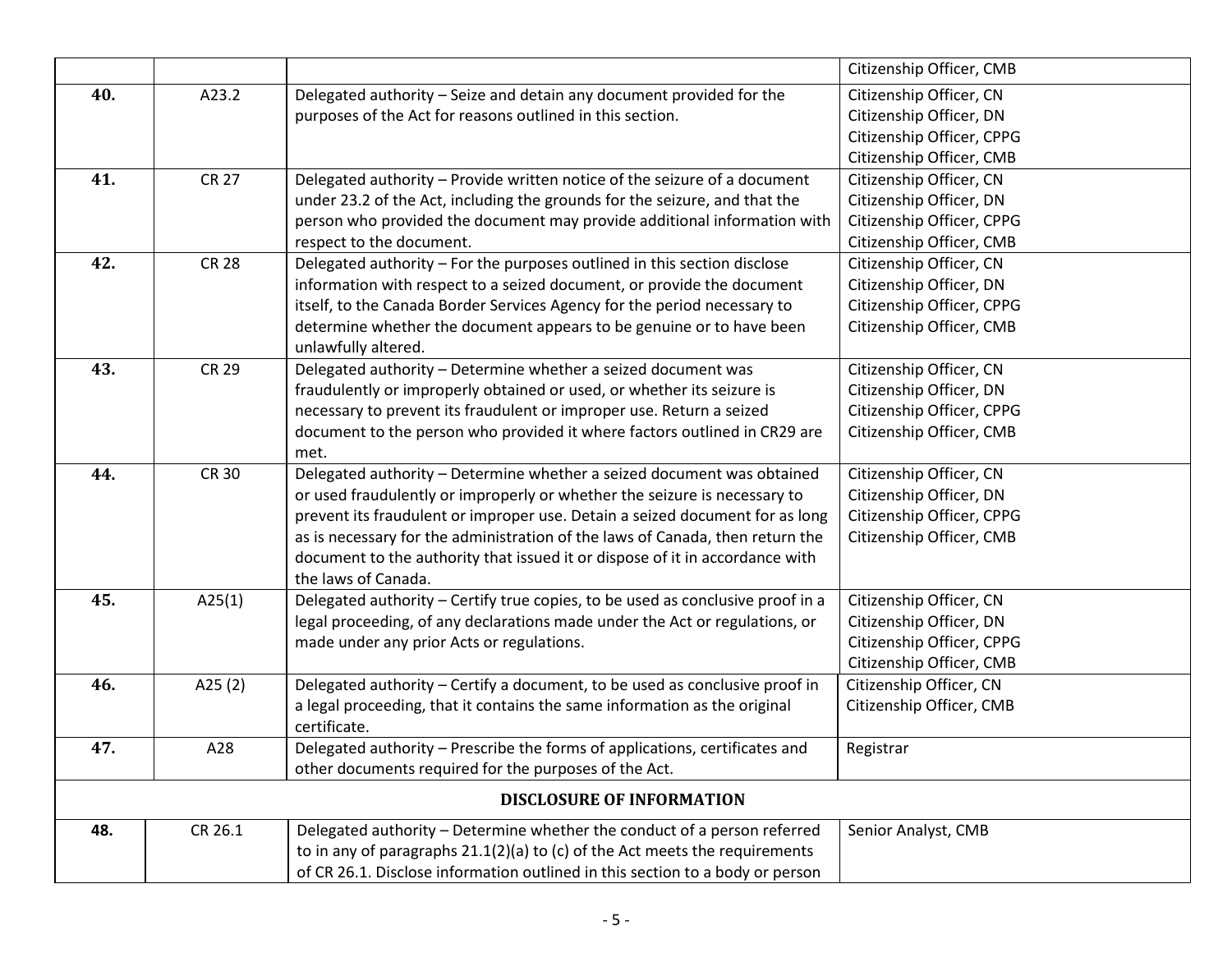|     |              |                                                                                | Citizenship Officer, CMB  |
|-----|--------------|--------------------------------------------------------------------------------|---------------------------|
| 40. | A23.2        | Delegated authority - Seize and detain any document provided for the           | Citizenship Officer, CN   |
|     |              | purposes of the Act for reasons outlined in this section.                      | Citizenship Officer, DN   |
|     |              |                                                                                | Citizenship Officer, CPPG |
|     |              |                                                                                | Citizenship Officer, CMB  |
| 41. | <b>CR 27</b> | Delegated authority - Provide written notice of the seizure of a document      | Citizenship Officer, CN   |
|     |              | under 23.2 of the Act, including the grounds for the seizure, and that the     | Citizenship Officer, DN   |
|     |              | person who provided the document may provide additional information with       | Citizenship Officer, CPPG |
|     |              | respect to the document.                                                       | Citizenship Officer, CMB  |
| 42. | <b>CR 28</b> | Delegated authority - For the purposes outlined in this section disclose       | Citizenship Officer, CN   |
|     |              | information with respect to a seized document, or provide the document         | Citizenship Officer, DN   |
|     |              | itself, to the Canada Border Services Agency for the period necessary to       | Citizenship Officer, CPPG |
|     |              | determine whether the document appears to be genuine or to have been           | Citizenship Officer, CMB  |
|     |              | unlawfully altered.                                                            |                           |
| 43. | <b>CR 29</b> | Delegated authority - Determine whether a seized document was                  | Citizenship Officer, CN   |
|     |              | fraudulently or improperly obtained or used, or whether its seizure is         | Citizenship Officer, DN   |
|     |              | necessary to prevent its fraudulent or improper use. Return a seized           | Citizenship Officer, CPPG |
|     |              | document to the person who provided it where factors outlined in CR29 are      | Citizenship Officer, CMB  |
|     |              | met.                                                                           |                           |
| 44. | <b>CR 30</b> | Delegated authority - Determine whether a seized document was obtained         | Citizenship Officer, CN   |
|     |              | or used fraudulently or improperly or whether the seizure is necessary to      | Citizenship Officer, DN   |
|     |              | prevent its fraudulent or improper use. Detain a seized document for as long   | Citizenship Officer, CPPG |
|     |              | as is necessary for the administration of the laws of Canada, then return the  | Citizenship Officer, CMB  |
|     |              | document to the authority that issued it or dispose of it in accordance with   |                           |
|     |              | the laws of Canada.                                                            |                           |
| 45. | A25(1)       | Delegated authority - Certify true copies, to be used as conclusive proof in a | Citizenship Officer, CN   |
|     |              | legal proceeding, of any declarations made under the Act or regulations, or    | Citizenship Officer, DN   |
|     |              | made under any prior Acts or regulations.                                      | Citizenship Officer, CPPG |
|     |              |                                                                                | Citizenship Officer, CMB  |
| 46. | A25 $(2)$    | Delegated authority - Certify a document, to be used as conclusive proof in    | Citizenship Officer, CN   |
|     |              | a legal proceeding, that it contains the same information as the original      | Citizenship Officer, CMB  |
|     |              | certificate.                                                                   |                           |
| 47. | A28          | Delegated authority – Prescribe the forms of applications, certificates and    | Registrar                 |
|     |              | other documents required for the purposes of the Act.                          |                           |
|     |              | <b>DISCLOSURE OF INFORMATION</b>                                               |                           |
| 48. | CR 26.1      | Delegated authority - Determine whether the conduct of a person referred       | Senior Analyst, CMB       |
|     |              | to in any of paragraphs 21.1(2)(a) to (c) of the Act meets the requirements    |                           |
|     |              | of CR 26.1. Disclose information outlined in this section to a body or person  |                           |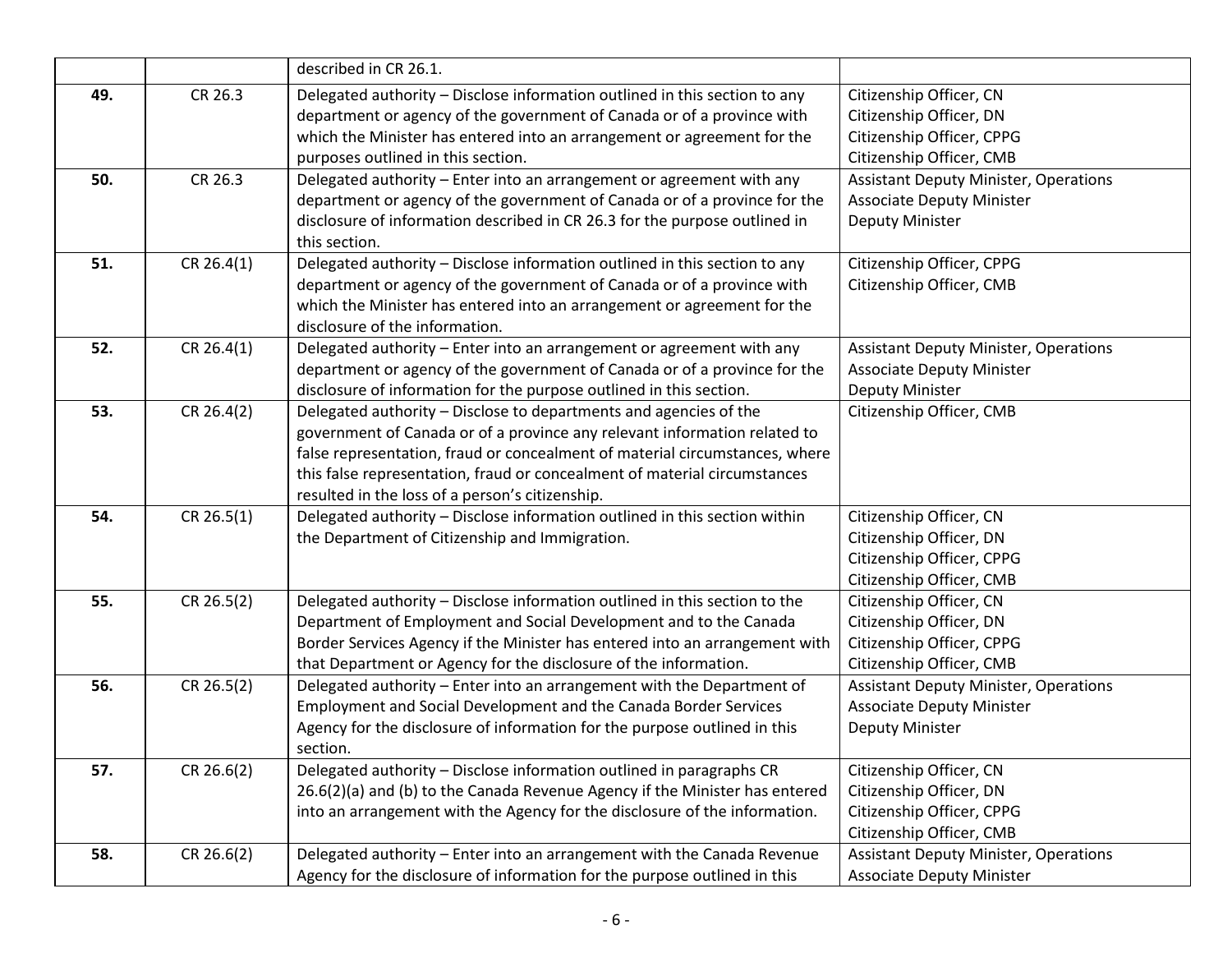|     |              | described in CR 26.1.                                                                                                                                                                                                                                                                                                                                         |                                                                                                             |
|-----|--------------|---------------------------------------------------------------------------------------------------------------------------------------------------------------------------------------------------------------------------------------------------------------------------------------------------------------------------------------------------------------|-------------------------------------------------------------------------------------------------------------|
| 49. | CR 26.3      | Delegated authority - Disclose information outlined in this section to any<br>department or agency of the government of Canada or of a province with<br>which the Minister has entered into an arrangement or agreement for the<br>purposes outlined in this section.                                                                                         | Citizenship Officer, CN<br>Citizenship Officer, DN<br>Citizenship Officer, CPPG<br>Citizenship Officer, CMB |
| 50. | CR 26.3      | Delegated authority - Enter into an arrangement or agreement with any<br>department or agency of the government of Canada or of a province for the<br>disclosure of information described in CR 26.3 for the purpose outlined in<br>this section.                                                                                                             | <b>Assistant Deputy Minister, Operations</b><br><b>Associate Deputy Minister</b><br>Deputy Minister         |
| 51. | CR 26.4(1)   | Delegated authority - Disclose information outlined in this section to any<br>department or agency of the government of Canada or of a province with<br>which the Minister has entered into an arrangement or agreement for the<br>disclosure of the information.                                                                                             | Citizenship Officer, CPPG<br>Citizenship Officer, CMB                                                       |
| 52. | CR 26.4(1)   | Delegated authority - Enter into an arrangement or agreement with any<br>department or agency of the government of Canada or of a province for the<br>disclosure of information for the purpose outlined in this section.                                                                                                                                     | <b>Assistant Deputy Minister, Operations</b><br><b>Associate Deputy Minister</b><br>Deputy Minister         |
| 53. | CR 26.4(2)   | Delegated authority - Disclose to departments and agencies of the<br>government of Canada or of a province any relevant information related to<br>false representation, fraud or concealment of material circumstances, where<br>this false representation, fraud or concealment of material circumstances<br>resulted in the loss of a person's citizenship. | Citizenship Officer, CMB                                                                                    |
| 54. | CR 26.5(1)   | Delegated authority - Disclose information outlined in this section within<br>the Department of Citizenship and Immigration.                                                                                                                                                                                                                                  | Citizenship Officer, CN<br>Citizenship Officer, DN<br>Citizenship Officer, CPPG<br>Citizenship Officer, CMB |
| 55. | CR 26.5(2)   | Delegated authority - Disclose information outlined in this section to the<br>Department of Employment and Social Development and to the Canada<br>Border Services Agency if the Minister has entered into an arrangement with<br>that Department or Agency for the disclosure of the information.                                                            | Citizenship Officer, CN<br>Citizenship Officer, DN<br>Citizenship Officer, CPPG<br>Citizenship Officer, CMB |
| 56. | $CR$ 26.5(2) | Delegated authority - Enter into an arrangement with the Department of<br>Employment and Social Development and the Canada Border Services<br>Agency for the disclosure of information for the purpose outlined in this<br>section.                                                                                                                           | <b>Assistant Deputy Minister, Operations</b><br><b>Associate Deputy Minister</b><br>Deputy Minister         |
| 57. | CR 26.6(2)   | Delegated authority - Disclose information outlined in paragraphs CR<br>26.6(2)(a) and (b) to the Canada Revenue Agency if the Minister has entered<br>into an arrangement with the Agency for the disclosure of the information.                                                                                                                             | Citizenship Officer, CN<br>Citizenship Officer, DN<br>Citizenship Officer, CPPG<br>Citizenship Officer, CMB |
| 58. | CR 26.6(2)   | Delegated authority - Enter into an arrangement with the Canada Revenue<br>Agency for the disclosure of information for the purpose outlined in this                                                                                                                                                                                                          | <b>Assistant Deputy Minister, Operations</b><br><b>Associate Deputy Minister</b>                            |